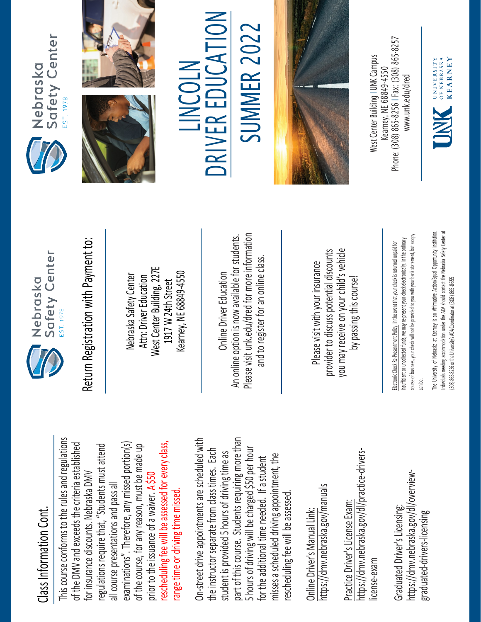## Class Information Cont. Class Information Cont

course conforms to the rules and regulations This course conforms to the rules and regulations examinations". Therefore, any missed portion(s) rescheduling fee will be assessed for every class, of the DMV and exceeds the criteria established regulations require that, "Students must attend examinations". Therefore, any missed portion(s) of the course, for any reason, must be made up rescheduling fee will be assessed for every class, of the DMV and exceeds the criteria established regulations require that, "Students must attend of the course, for any reason, must be made up for insurance discounts. Nebraska DMV **A \$50** for insurance discounts. Nebraska DMV all course presentations and pass all all course presentations and pass all range time or driving time missed. range time or driving time missed a waiver. prior to the issuance of

part of this course. Students requiring more than On-street drive appointments are scheduled with part of this course. Students requiring more than On-street drive appointments are scheduled with 5 hours of driving will be charged \$50 per hour from class times. Each 5 hours of driving will be charged \$50 per hour the instructor separate from class times. Each 5 hours of driving time as student is provided 5 hours of driving time as misses a scheduled driving appointment, the misses a scheduled driving appointment, the for the additional time needed. If a student rescheduling fee will be assessed. for the additional time needed. If rescheduling fee will be assessed the instructor separate student is provided

https://dmv.nebraska.gov/manuals https://dmv.nebraska.gov/manuals Online Driver's Manual Link: Online Driver's Manual Link:

https://dmv.nebraska.gov/dl/practice-drivershttps://dmv.nebraska.gov/dl/practice-drivers-Practice Driver's License Exam: Practice Driver's License Exam license-exam license-exam

https://dmv.nebraska.gov/dl/overviewhttps://dmv.nebraska.gov/dl/overview-Graduated Driver's Licensing: Graduated Driver's Licensing graduated-drivers-licensing graduated-drivers-licensing



Return Registration with Payment to: Return Registration with Payment to:

West Center Building, 227E West Center Building, 227E Kearney, NE 68849-4550 Kearney, NE 68849-4550 Nebraska Safety Center Attn: Driver Education Nebraska Safety Center Attn: Driver Education 1917 W 24th Street 1917 W 24th Street

Please visit unk.edu/dred for more information An online option is now available for students. An online option is now available for students. Please visit unk.edu/dred for more information and to register for an online class. and to register for an online class Online Driver Education Online Driver Education

you may receive on your child's vehicle provider to discuss potential discounts you may receive on your child's vehicle provider to discuss potential discounts Please visit with your insurance Please visit with your insurance by passing this course! by passing this course!

course of business, your check will not be provided to you with your bank statement, but a copy course of business, your check will not be provided to you with your bank statement, but a copy insufficient or uncollected funds, we may re-present your check electronically. In the ordinary insufficient or uncollected funds, we may re-present your check electronically. In the ordinary Electronic Check Re-Presentment Policy: In the event that your check is returned unpaid for Electronic Check Re-Presentment Policy: In the event that your check is returned unpaid for can be. stitution. ndividuals I needing accommodation under the ADA should contact the Nebraska Safety Center at Individuals needing accommodation under the ADA should contact the Nebraska Safety Center at The University of Nebraska at Kearney is an Affirmative Action/Equal Opportunity In (308) 865-8256 or the University's ADA Coordinator at (308) 865-8655. [308] 865-8256 or the University's ADA Coordinator at (308) 865-8655







## TO L **SUMMER 2022** SUMMER 202 R EDUCA LINCOLN LINCOLN E **KIVE NC**



Phone: (308) 865-8256 | Fax: (308) 865-8257 West Center Building I UNK Campus West Center Building | UNK Campus -8256 I Fax: (308) 865 Kearney. NE 68849-4550 www.unk.edu/dred [www.unk.edu/dred](http://www.unk.edu/dred) Kearney, NE 68849 Phone: (308) 865

OF NEBRASKA **KEARNEY** UNIVERSITY INK